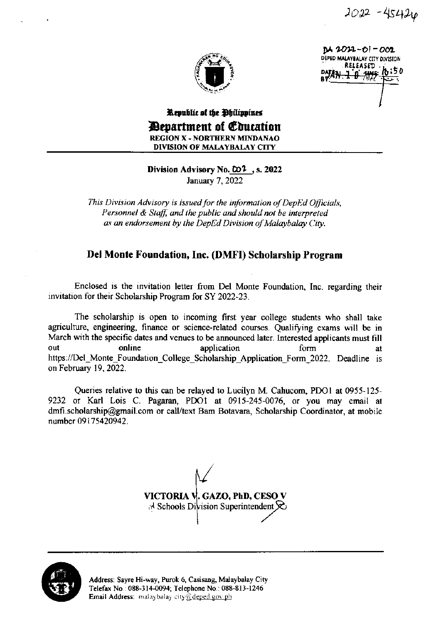$2022 - 45426$ 



 $DM 2022 - 01 - 002$ DEPED MALAYBALAY CITY DIVISION RELEASED <del>.lθ⁄My</del>

## Republic of the Philippines *Department of Coucation* **REGION X - NORTHERN MINDANAO DIVISION OF MALAYBALAY CITY**

## Division Advisory No.  $\omega^2$ , s. 2022

January 7, 2022

This Division Advisory is issued for the information of DepEd Officials, Personnel & Staff, and the public and should not be interpreted as an endorsement by the DepEd Division of Malaybalay City.

## Del Monte Foundation, Inc. (DMFI) Scholarship Program

Enclosed is the invitation letter from Del Monte Foundation, Inc. regarding their invitation for their Scholarship Program for SY 2022-23.

The scholarship is open to incoming first year college students who shall take agriculture, engineering, finance or science-related courses. Qualifying exams will be in March with the specific dates and venues to be announced later. Interested applicants must fill online out application form at https://Del\_Monte\_Foundation\_College Scholarship Application Form 2022. Deadline is on February 19, 2022.

Queries relative to this can be relayed to Lucilyn M. Cahucom, PDO1 at 0955-125-9232 or Karl Lois C. Pagaran, PDO1 at 0915-245-0076, or you may email at dmfi.scholarship@gmail.com or call/text Bam Botavara, Scholarship Coordinator, at mobile number 09175420942.

VICTORIA V. GAZO, PhD, CESO V  $\mathbb{R}^d$  Schools Division Superintendent  $\mathcal{R}$